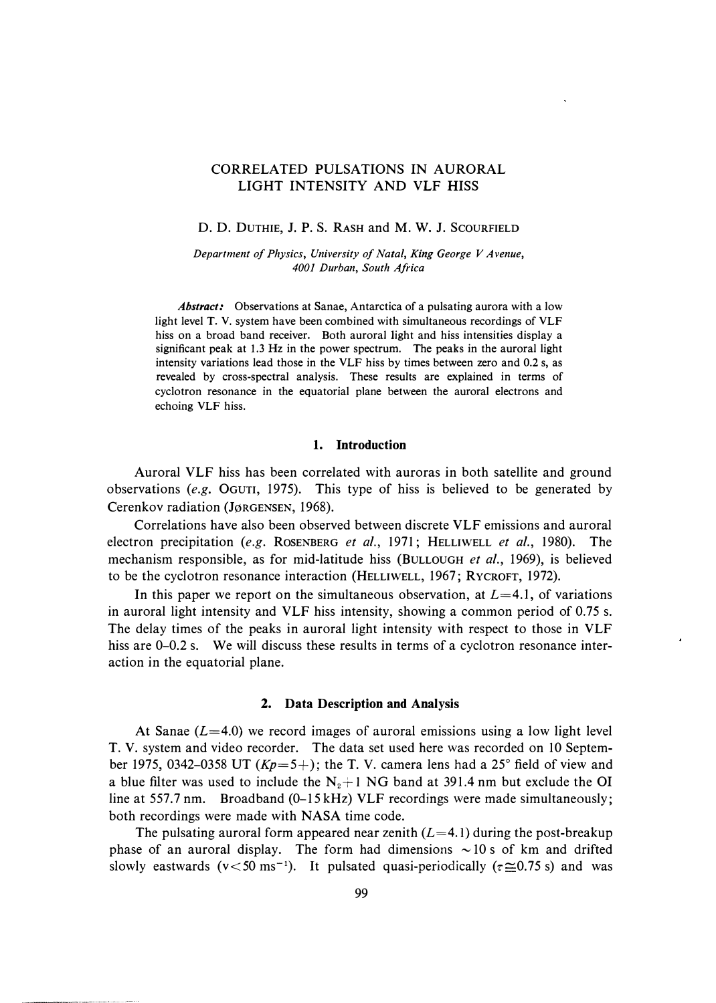# CORRELATED PULSATIONS IN AURORAL LIGHT INTENSITY AND VLF HISS

D. D. DUTHIE, J. P. s. RASH and M. w. J. SCOURFIELD

*Department of Physics, University of Natal, King George V Avenue, 4001 Durban, South Africa* 

*Abstract:* Observations at Sanae, Antarctica of a pulsating aurora with a low light level T. V. system have been combined with simultaneous recordings of VLF hiss on a broad band receiver. Both auroral light and hiss intensities display a significant peak at 1.3 Hz in the power spectrum. The peaks in the auroral light intensity variations lead those in the VLF hiss by times between zero and 0.2 s, as revealed by cross-spectral analysis. These results are explained in terms of cyclotron resonance in the equatorial plane between the auroral electrons and echoing VLF hiss.

#### **1. Introduction**

Auroral VLF hiss has been correlated with auroras in both satellite and ground observations *(e.g.* OGUTI, 1975). This type of hiss is believed to be generated by Cerenkov radiation (Jørgensen, 1968).

Correlations have also been observed between discrete VLF emissions and auroral electron precipitation *(e.g.* ROSENBERG *et al.,* 1971; HELLIWELL *et al.,* 1980). The mechanism responsible, as for mid-latitude hiss (BULLOUGH *et al.,* 1969), is believed to be the cyclotron resonance interaction (HELLIWELL, 1967; RYCROFT, 1972).

In this paper we report on the simultaneous observation, at *L=4.I,* of variations in auroral light intensity and VLF hiss intensity, showing a common period of 0.75 s. The delay times of the peaks in auroral light intensity with respect to those in VLF hiss are 0–0.2 s. We will discuss these results in terms of a cyclotron resonance interaction in the equatorial plane.

### **2. Data Description and Analysis**

At Sanae *(L=4.0)* we record images of auroral emissions using a low light level T. V. system and video recorder. The data set used here was recorded on 10 September 1975, 0342-0358 UT  $(Kp=5+)$ ; the T. V. camera lens had a 25° field of view and a blue filter was used to include the  $N_2+1$  NG band at 391.4 nm but exclude the OI line at 557.7 nm. Broadband (0-15 kHz) VLF recordings were made simultaneously; both recordings were made with NASA time code.

The pulsating auroral form appeared near zenith *(L=4.* l) during the post-breakup phase of an auroral display. The form had dimensions  $\sim$  10 s of km and drifted slowly eastwards (v<50 ms<sup>-1</sup>). It pulsated quasi-periodically ( $\tau \approx 0.75$  s) and was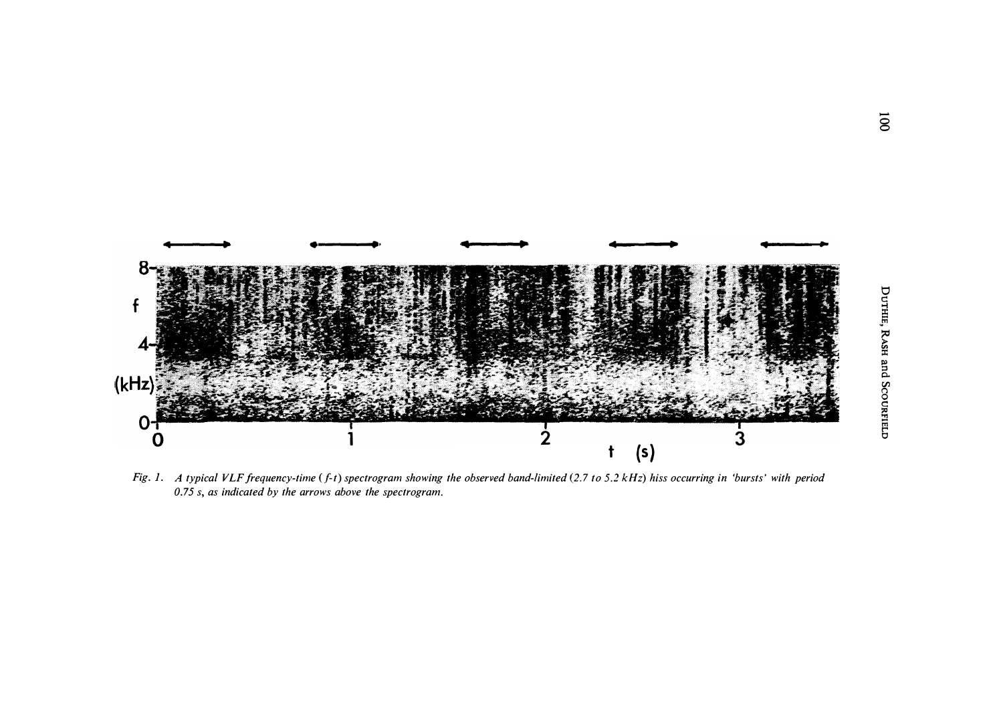

*Fig. 1.* A typical VLF frequency-time (f-t) spectrogram showing the observed band-limited (2.7 to 5.2 kHz) hiss occurring in 'bursts' with period *0.75 s, as indicated by the arrows above the spectrogram.*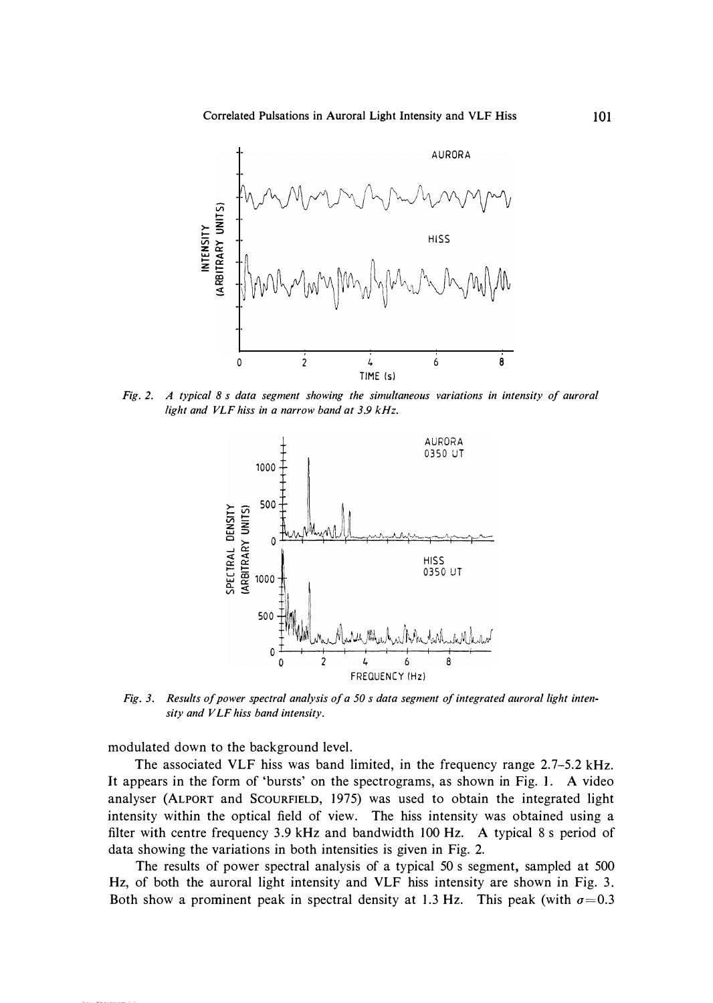

*Fig. 2. A typical 8 s data segment showing the simultaneous variations in intensity of auroral light and VLF hiss in a narrow band at 3.9 kHz.* 



*Fig. 3. Results of power spectral analysis of a 50 s data segment of integrated auroral light intensity and VLF hiss band intensity.* 

**modulated down to the background level.** 

**The associated VLF hiss was band limited, in the frequency range 2.7-5.2 kHz. It appears in the form of 'bursts' on the spectrograms, as shown in Fig. I. A video analyser (ALPORT and ScouRFIELD, 1975) was used to obtain the integrated light intensity within the optical field of view. The hiss intensity was obtained using a filter with centre frequency 3.9 kHz and bandwidth 100 Hz. A typical 8 s period of data showing the variations in both intensities is given in Fig. 2.** 

**The results of power spectral analysis of a typical 50 s segment, sampled at 500 Hz, of both the auroral light intensity and VLF hiss intensity are shown in Fig. 3.**  Both show a prominent peak in spectral density at 1.3 Hz. This peak (with  $\sigma = 0.3$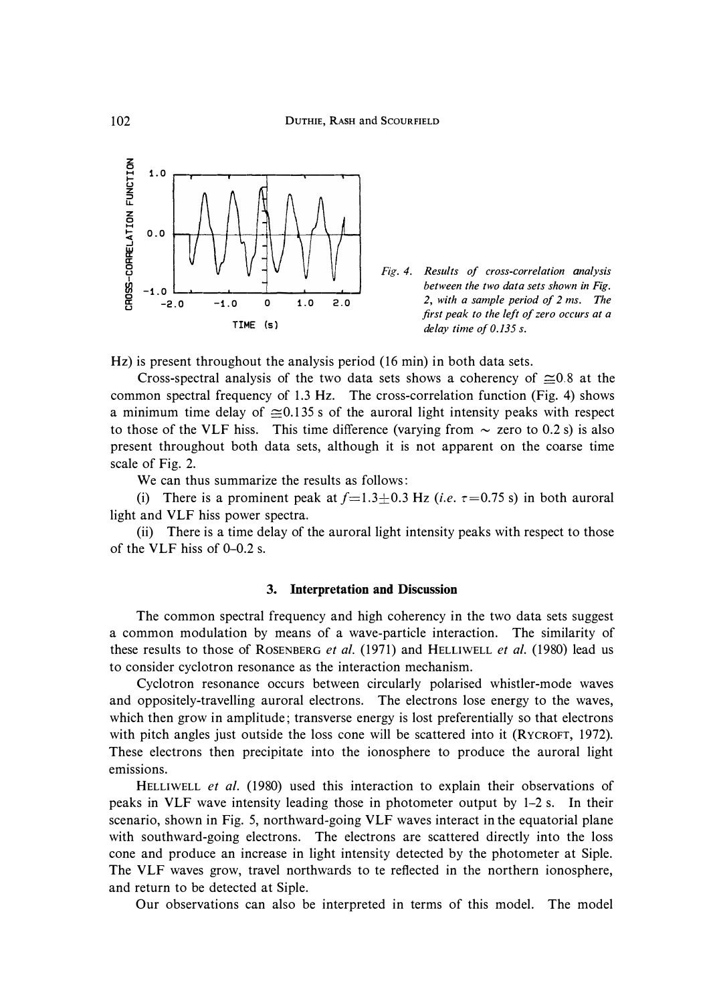



**Hz) is present throughout the analysis period (16 min) in both data sets.** 

Cross-spectral analysis of the two data sets shows a coherency of  $\approx 0.8$  at the **common spectral frequency of 1.3 Hz. The cross-correlation function (Fig. 4) shows**  a minimum time delay of  $\approx 0.135$  s of the auroral light intensity peaks with respect to those of the VLF hiss. This time difference (varying from  $\sim$  zero to 0.2 s) is also **present throughout both data sets, although it is not apparent on the coarse time scale of Fig. 2.** 

**We can thus summarize the results as follows:** 

(i) There is a prominent peak at  $f=1.3\pm0.3$  Hz (*i.e.*  $\tau=0.75$  s) in both auroral **light and VLF hiss power spectra.** 

**(ii) There is a time delay of the auroral light intensity peaks with respect to those of the VLF hiss of 0-0.2 s.** 

### **3. Interpretation and Discussion**

**The common spectral frequency and high coherency in the two data sets suggest a common modulation by means of a wave-particle interaction. The similarity of these results to those of ROSENBERG** *et al.* **(1971) and HELLIWELL** *et al.* **(1980) lead us to consider cyclotron resonance as the interaction mechanism.** 

**Cyclotron resonance occurs between circularly polarised whistler-mode waves and oppositely-travelling auroral electrons. The electrons lose energy to the waves, which then grow in amplitude; transverse energy is lost preferentially so that electrons**  with pitch angles just outside the loss cone will be scattered into it (RYCROFT, 1972). **These electrons then precipitate into the ionosphere to produce the auroral light emissions.** 

**HELLIWELL** *et al.* **(1980) used this interaction to explain their observations of peaks in VLF wave intensity leading those in photometer output by 1-2 s. In their scenario, shown in Fig. 5, northward-going VLF waves interact in the equatorial plane with southward-going electrons. The electrons are scattered directly into the loss cone and produce an increase in light intensity detected by the photometer at Siple. The VLF waves grow, travel northwards to te reflected in the northern ionosphere, and return to be detected at Siple.** 

**Our observations can also be interpreted in terms of this model. The model**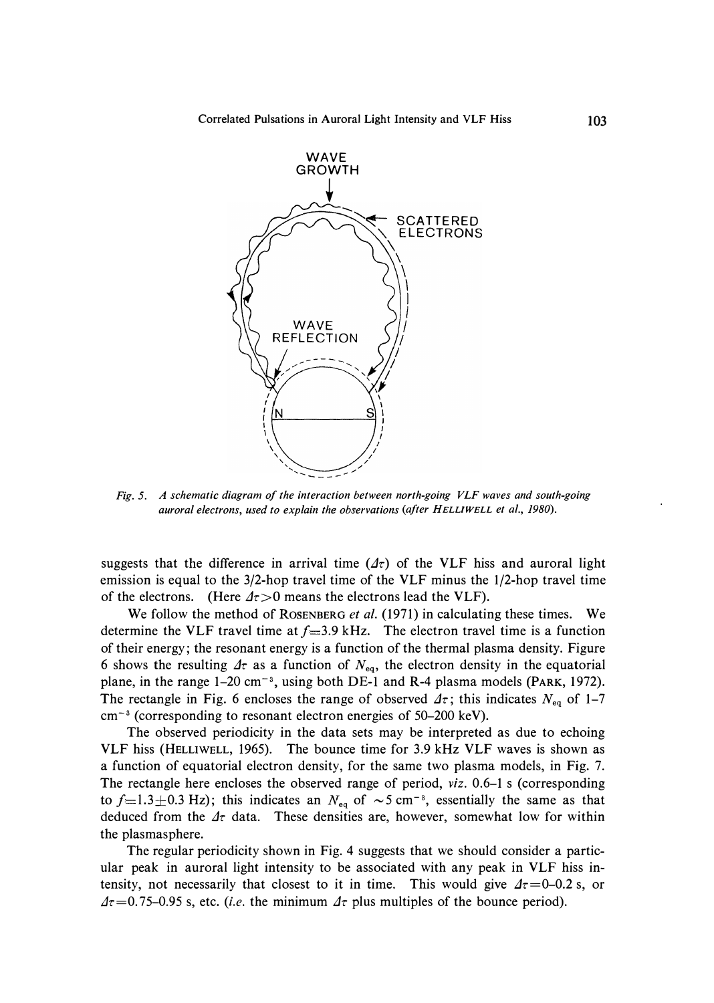

*Fig. 5. A schematic diagram of the interaction between north-going VLF waves and south-going auroral electrons, used to explain the observations (after HELLIWELL et al., 1980).* 

suggests that the difference in arrival time  $(\Delta \tau)$  of the VLF hiss and auroral light emission is equal to the 3/2-hop travel time of the VLF minus the 1/2-hop travel time of the electrons. (Here  $\Delta \tau > 0$  means the electrons lead the VLF).

We follow the method of **RosENBERG** *et al.* (1971) in calculating these times. We determine the VLF travel time at  $f=3.9$  kHz. The electron travel time is a function of their energy; the resonant energy is a function of the thermal plasma density. Figure 6 shows the resulting  $\Delta \tau$  as a function of  $N_{\text{eq}}$ , the electron density in the equatorial plane, in the range 1–20 cm<sup>-3</sup>, using both DE-1 and R-4 plasma models (PARK, 1972). The rectangle in Fig. 6 encloses the range of observed  $\Delta\tau$ ; this indicates  $N_{eq}$  of 1-7 cm<sup>-3</sup> (corresponding to resonant electron energies of 50-200 keV).

The observed periodicity in the data sets may be interpreted as due to echoing VLF hiss **(HELLIWELL,** 1965). The bounce time for 3.9 kHz VLF waves is shown as a function of equatorial electron density, for the same two plasma models, in Fig. 7. The rectangle here encloses the observed range of period, *viz.* 0.6-1 s (corresponding to  $f=1.3\pm0.3$  Hz); this indicates an  $N_{eq}$  of  $\sim5$  cm<sup>-s</sup>, essentially the same as that deduced from the  $\Delta\tau$  data. These densities are, however, somewhat low for within the plasmasphere.

The regular periodicity shown in Fig. 4 suggests that we should consider a particular peak in auroral light intensity to be associated with any peak in VLF hiss intensity, not necessarily that closest to it in time. This would give  $\Delta \tau = 0$ -0.2 s, or  $\Delta \tau$ =0.75-0.95 s, etc. *(i.e.* the minimum  $\Delta \tau$  plus multiples of the bounce period).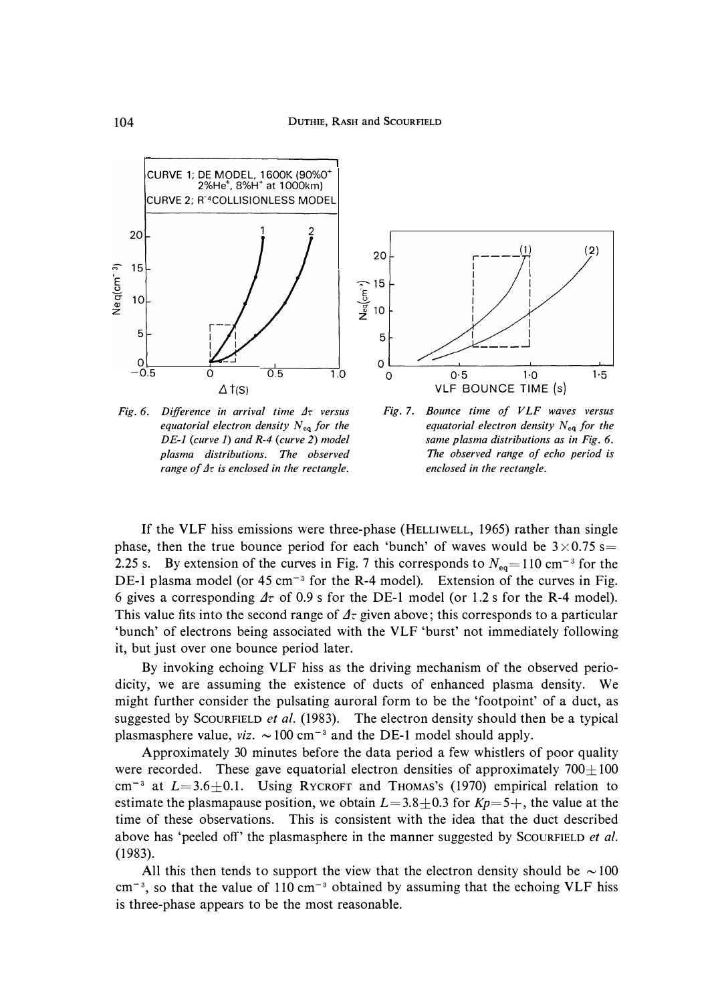

*Fig. 6. Difference in arrival time*  $4\tau$  versus *equatorial electron density*  $N_{eq}$  *for the DE-1 (curve 1) and R-4 (curve 2) model plasma distributions. The observed range of*  $\Delta\tau$  *is enclosed in the rectangle.* 



**If the VLF hiss emissions were three-phase (HELLIWELL, 1965) rather than single**  phase, then the true bounce period for each 'bunch' of waves would be  $3 \times 0.75$  s= 2.25 s. By extension of the curves in Fig. 7 this corresponds to  $N_{eq} = 110 \text{ cm}^{-3}$  for the DE-1 plasma model (or 45 cm<sup>-3</sup> for the R-4 model). Extension of the curves in Fig. 6 gives a corresponding  $\Delta \tau$  of 0.9 s for the DE-1 model (or 1.2 s for the R-4 model). This value fits into the second range of  $\Delta\tau$  given above; this corresponds to a particular **'bunch' of electrons being associated with the VLF 'burst' not immediately following it, but just over one bounce period later.** 

**By invoking echoing VLF hiss as the driving mechanism of the observed periodicity, we are assuming the existence of ducts of enhanced plasma density. We might further consider the pulsating auroral form to be the 'footpoint' of a duct, as suggested by ScouRFIELD** *et al.* **(1983). The electron density should then be a typical**  plasmasphere value,  $viz. ~ 100 cm^{-3}$  and the DE-1 model should apply.

**Approximately 30 minutes before the data period a few whistlers of poor quality**  were recorded. These gave equatorial electron densities of approximately  $700 \pm 100$  $cm^{-3}$  at  $L=3.6\pm0.1$ . Using RYCROFT and THOMAS's (1970) empirical relation to estimate the plasmapause position, we obtain  $L=3.8\pm0.3$  for  $Kp=5+$ , the value at the **time of these observations. This is consistent with the idea that the duct described**  above has 'peeled off' the plasmasphere in the manner suggested by SCOURFIELD *et al.* **(1983).** 

All this then tends to support the view that the electron density should be  $\sim$  100 **cm- <sup>3</sup> , so that the value of 110 cm- <sup>3</sup>obtained by assuming that the echoing VLF hiss is three-phase appears to be the most reasonable.**